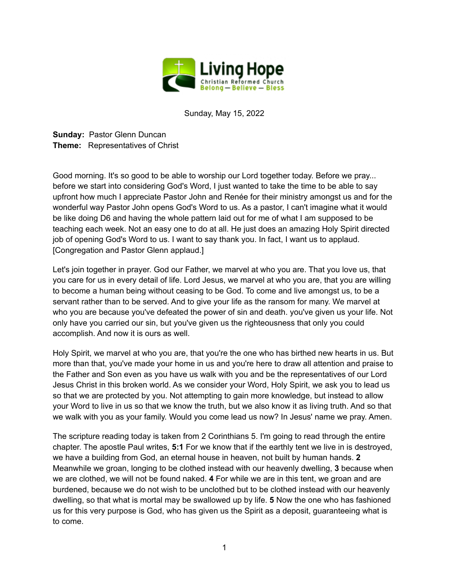

Sunday, May 15, 2022

**Sunday:** Pastor Glenn Duncan **Theme:** Representatives of Christ

Good morning. It's so good to be able to worship our Lord together today. Before we pray... before we start into considering God's Word, I just wanted to take the time to be able to say upfront how much I appreciate Pastor John and Renée for their ministry amongst us and for the wonderful way Pastor John opens God's Word to us. As a pastor, I can't imagine what it would be like doing D6 and having the whole pattern laid out for me of what I am supposed to be teaching each week. Not an easy one to do at all. He just does an amazing Holy Spirit directed job of opening God's Word to us. I want to say thank you. In fact, I want us to applaud. [Congregation and Pastor Glenn applaud.]

Let's join together in prayer. God our Father, we marvel at who you are. That you love us, that you care for us in every detail of life. Lord Jesus, we marvel at who you are, that you are willing to become a human being without ceasing to be God. To come and live amongst us, to be a servant rather than to be served. And to give your life as the ransom for many. We marvel at who you are because you've defeated the power of sin and death. you've given us your life. Not only have you carried our sin, but you've given us the righteousness that only you could accomplish. And now it is ours as well.

Holy Spirit, we marvel at who you are, that you're the one who has birthed new hearts in us. But more than that, you've made your home in us and you're here to draw all attention and praise to the Father and Son even as you have us walk with you and be the representatives of our Lord Jesus Christ in this broken world. As we consider your Word, Holy Spirit, we ask you to lead us so that we are protected by you. Not attempting to gain more knowledge, but instead to allow your Word to live in us so that we know the truth, but we also know it as living truth. And so that we walk with you as your family. Would you come lead us now? In Jesus' name we pray. Amen.

The scripture reading today is taken from 2 Corinthians 5. I'm going to read through the entire chapter. The apostle Paul writes, **5:1** For we know that if the earthly tent we live in is destroyed, we have a building from God, an eternal house in heaven, not built by human hands. **2** Meanwhile we groan, longing to be clothed instead with our heavenly dwelling, **3** because when we are clothed, we will not be found naked. **4** For while we are in this tent, we groan and are burdened, because we do not wish to be unclothed but to be clothed instead with our heavenly dwelling, so that what is mortal may be swallowed up by life. **5** Now the one who has fashioned us for this very purpose is God, who has given us the Spirit as a deposit, guaranteeing what is to come.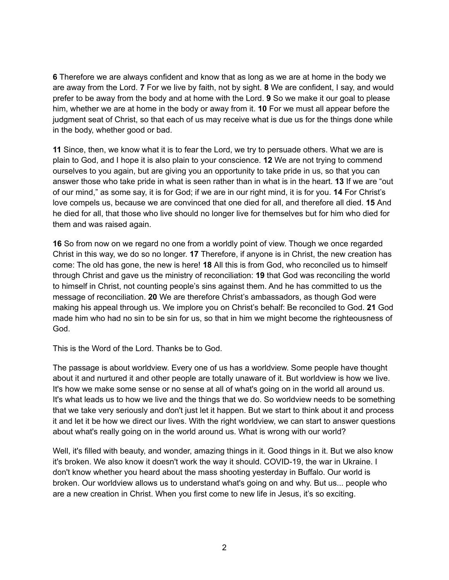**6** Therefore we are always confident and know that as long as we are at home in the body we are away from the Lord. **7** For we live by faith, not by sight. **8** We are confident, I say, and would prefer to be away from the body and at home with the Lord. **9** So we make it our goal to please him, whether we are at home in the body or away from it. **10** For we must all appear before the judgment seat of Christ, so that each of us may receive what is due us for the things done while in the body, whether good or bad.

**11** Since, then, we know what it is to fear the Lord, we try to persuade others. What we are is plain to God, and I hope it is also plain to your conscience. **12** We are not trying to commend ourselves to you again, but are giving you an opportunity to take pride in us, so that you can answer those who take pride in what is seen rather than in what is in the heart. **13** If we are "out of our mind," as some say, it is for God; if we are in our right mind, it is for you. **14** For Christ's love compels us, because we are convinced that one died for all, and therefore all died. **15** And he died for all, that those who live should no longer live for themselves but for him who died for them and was raised again.

**16** So from now on we regard no one from a worldly point of view. Though we once regarded Christ in this way, we do so no longer. **17** Therefore, if anyone is in Christ, the new creation has come: The old has gone, the new is here! **18** All this is from God, who reconciled us to himself through Christ and gave us the ministry of reconciliation: **19** that God was reconciling the world to himself in Christ, not counting people's sins against them. And he has committed to us the message of reconciliation. **20** We are therefore Christ's ambassadors, as though God were making his appeal through us. We implore you on Christ's behalf: Be reconciled to God. **21** God made him who had no sin to be sin for us, so that in him we might become the righteousness of God.

This is the Word of the Lord. Thanks be to God.

The passage is about worldview. Every one of us has a worldview. Some people have thought about it and nurtured it and other people are totally unaware of it. But worldview is how we live. It's how we make some sense or no sense at all of what's going on in the world all around us. It's what leads us to how we live and the things that we do. So worldview needs to be something that we take very seriously and don't just let it happen. But we start to think about it and process it and let it be how we direct our lives. With the right worldview, we can start to answer questions about what's really going on in the world around us. What is wrong with our world?

Well, it's filled with beauty, and wonder, amazing things in it. Good things in it. But we also know it's broken. We also know it doesn't work the way it should. COVID-19, the war in Ukraine. I don't know whether you heard about the mass shooting yesterday in Buffalo. Our world is broken. Our worldview allows us to understand what's going on and why. But us... people who are a new creation in Christ. When you first come to new life in Jesus, it's so exciting.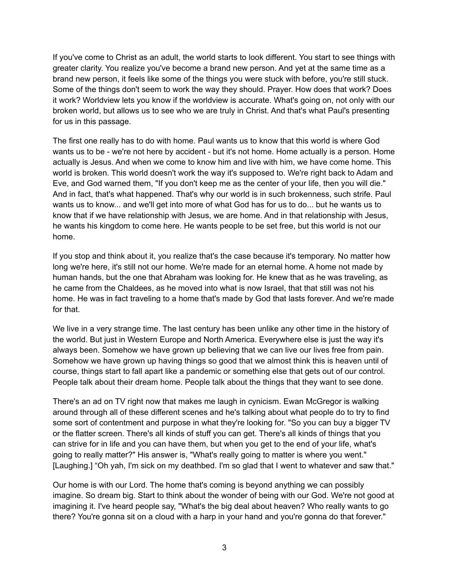If you've come to Christ as an adult, the world starts to look different. You start to see things with greater clarity. You realize you've become a brand new person. And yet at the same time as a brand new person, it feels like some of the things you were stuck with before, you're still stuck. Some of the things don't seem to work the way they should. Prayer. How does that work? Does it work? Worldview lets you know if the worldview is accurate. What's going on, not only with our broken world, but allows us to see who we are truly in Christ. And that's what Paul's presenting for us in this passage.

The first one really has to do with home. Paul wants us to know that this world is where God wants us to be - we're not here by accident - but it's not home. Home actually is a person. Home actually is Jesus. And when we come to know him and live with him, we have come home. This world is broken. This world doesn't work the way it's supposed to. We're right back to Adam and Eve, and God warned them, "If you don't keep me as the center of your life, then you will die." And in fact, that's what happened. That's why our world is in such brokenness, such strife. Paul wants us to know... and we'll get into more of what God has for us to do... but he wants us to know that if we have relationship with Jesus, we are home. And in that relationship with Jesus, he wants his kingdom to come here. He wants people to be set free, but this world is not our home.

If you stop and think about it, you realize that's the case because it's temporary. No matter how long we're here, it's still not our home. We're made for an eternal home. A home not made by human hands, but the one that Abraham was looking for. He knew that as he was traveling, as he came from the Chaldees, as he moved into what is now Israel, that that still was not his home. He was in fact traveling to a home that's made by God that lasts forever. And we're made for that.

We live in a very strange time. The last century has been unlike any other time in the history of the world. But just in Western Europe and North America. Everywhere else is just the way it's always been. Somehow we have grown up believing that we can live our lives free from pain. Somehow we have grown up having things so good that we almost think this is heaven until of course, things start to fall apart like a pandemic or something else that gets out of our control. People talk about their dream home. People talk about the things that they want to see done.

There's an ad on TV right now that makes me laugh in cynicism. Ewan McGregor is walking around through all of these different scenes and he's talking about what people do to try to find some sort of contentment and purpose in what they're looking for. "So you can buy a bigger TV or the flatter screen. There's all kinds of stuff you can get. There's all kinds of things that you can strive for in life and you can have them, but when you get to the end of your life, what's going to really matter?" His answer is, "What's really going to matter is where you went." [Laughing.] "Oh yah, I'm sick on my deathbed. I'm so glad that I went to whatever and saw that."

Our home is with our Lord. The home that's coming is beyond anything we can possibly imagine. So dream big. Start to think about the wonder of being with our God. We're not good at imagining it. I've heard people say, "What's the big deal about heaven? Who really wants to go there? You're gonna sit on a cloud with a harp in your hand and you're gonna do that forever."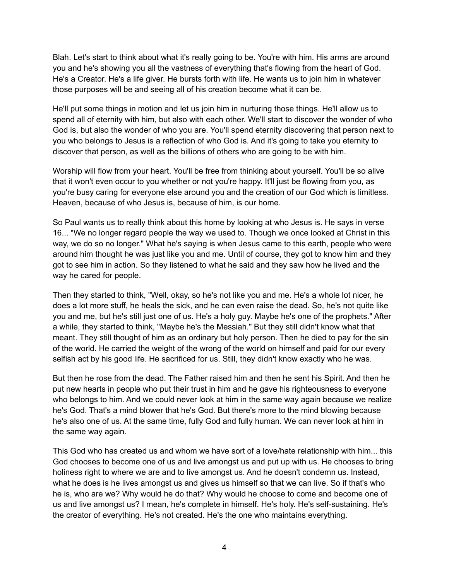Blah. Let's start to think about what it's really going to be. You're with him. His arms are around you and he's showing you all the vastness of everything that's flowing from the heart of God. He's a Creator. He's a life giver. He bursts forth with life. He wants us to join him in whatever those purposes will be and seeing all of his creation become what it can be.

He'll put some things in motion and let us join him in nurturing those things. He'll allow us to spend all of eternity with him, but also with each other. We'll start to discover the wonder of who God is, but also the wonder of who you are. You'll spend eternity discovering that person next to you who belongs to Jesus is a reflection of who God is. And it's going to take you eternity to discover that person, as well as the billions of others who are going to be with him.

Worship will flow from your heart. You'll be free from thinking about yourself. You'll be so alive that it won't even occur to you whether or not you're happy. It'll just be flowing from you, as you're busy caring for everyone else around you and the creation of our God which is limitless. Heaven, because of who Jesus is, because of him, is our home.

So Paul wants us to really think about this home by looking at who Jesus is. He says in verse 16... "We no longer regard people the way we used to. Though we once looked at Christ in this way, we do so no longer." What he's saying is when Jesus came to this earth, people who were around him thought he was just like you and me. Until of course, they got to know him and they got to see him in action. So they listened to what he said and they saw how he lived and the way he cared for people.

Then they started to think, "Well, okay, so he's not like you and me. He's a whole lot nicer, he does a lot more stuff, he heals the sick, and he can even raise the dead. So, he's not quite like you and me, but he's still just one of us. He's a holy guy. Maybe he's one of the prophets." After a while, they started to think, "Maybe he's the Messiah." But they still didn't know what that meant. They still thought of him as an ordinary but holy person. Then he died to pay for the sin of the world. He carried the weight of the wrong of the world on himself and paid for our every selfish act by his good life. He sacrificed for us. Still, they didn't know exactly who he was.

But then he rose from the dead. The Father raised him and then he sent his Spirit. And then he put new hearts in people who put their trust in him and he gave his righteousness to everyone who belongs to him. And we could never look at him in the same way again because we realize he's God. That's a mind blower that he's God. But there's more to the mind blowing because he's also one of us. At the same time, fully God and fully human. We can never look at him in the same way again.

This God who has created us and whom we have sort of a love/hate relationship with him... this God chooses to become one of us and live amongst us and put up with us. He chooses to bring holiness right to where we are and to live amongst us. And he doesn't condemn us. Instead, what he does is he lives amongst us and gives us himself so that we can live. So if that's who he is, who are we? Why would he do that? Why would he choose to come and become one of us and live amongst us? I mean, he's complete in himself. He's holy. He's self-sustaining. He's the creator of everything. He's not created. He's the one who maintains everything.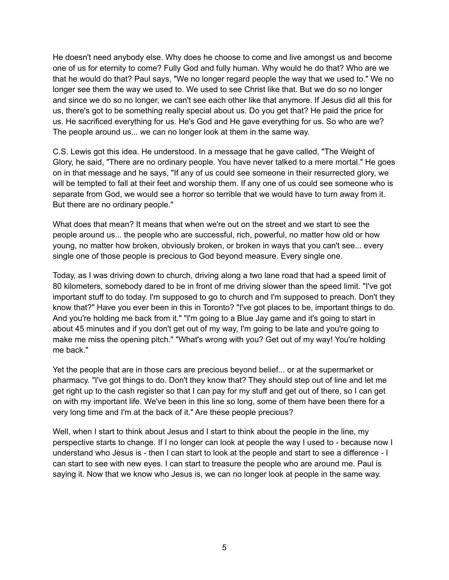He doesn't need anybody else. Why does he choose to come and live amongst us and become one of us for eternity to come? Fully God and fully human. Why would he do that? Who are we that he would do that? Paul says, "We no longer regard people the way that we used to." We no longer see them the way we used to. We used to see Christ like that. But we do so no longer and since we do so no longer, we can't see each other like that anymore. If Jesus did all this for us, there's got to be something really special about us. Do you get that? He paid the price for us. He sacrificed everything for us. He's God and He gave everything for us. So who are we? The people around us... we can no longer look at them in the same way.

C.S. Lewis got this idea. He understood. In a message that he gave called, "The Weight of Glory, he said, "There are no ordinary people. You have never talked to a mere mortal." He goes on in that message and he says, "If any of us could see someone in their resurrected glory, we will be tempted to fall at their feet and worship them. If any one of us could see someone who is separate from God, we would see a horror so terrible that we would have to turn away from it. But there are no ordinary people."

What does that mean? It means that when we're out on the street and we start to see the people around us... the people who are successful, rich, powerful, no matter how old or how young, no matter how broken, obviously broken, or broken in ways that you can't see... every single one of those people is precious to God beyond measure. Every single one.

Today, as I was driving down to church, driving along a two lane road that had a speed limit of 80 kilometers, somebody dared to be in front of me driving slower than the speed limit. "I've got important stuff to do today. I'm supposed to go to church and I'm supposed to preach. Don't they know that?" Have you ever been in this in Toronto? "I've got places to be, important things to do. And you're holding me back from it." "I'm going to a Blue Jay game and it's going to start in about 45 minutes and if you don't get out of my way, I'm going to be late and you're going to make me miss the opening pitch." "What's wrong with you? Get out of my way! You're holding me back."

Yet the people that are in those cars are precious beyond belief... or at the supermarket or pharmacy. "I've got things to do. Don't they know that? They should step out of line and let me get right up to the cash register so that I can pay for my stuff and get out of there, so I can get on with my important life. We've been in this line so long, some of them have been there for a very long time and I'm at the back of it." Are these people precious?

Well, when I start to think about Jesus and I start to think about the people in the line, my perspective starts to change. If I no longer can look at people the way I used to - because now I understand who Jesus is - then I can start to look at the people and start to see a difference - I can start to see with new eyes. I can start to treasure the people who are around me. Paul is saying it. Now that we know who Jesus is, we can no longer look at people in the same way.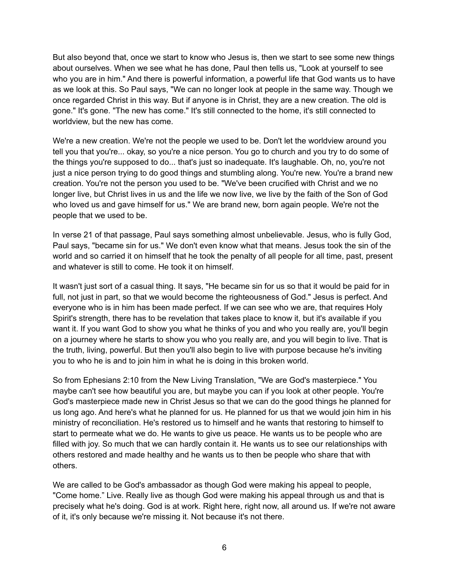But also beyond that, once we start to know who Jesus is, then we start to see some new things about ourselves. When we see what he has done, Paul then tells us, "Look at yourself to see who you are in him." And there is powerful information, a powerful life that God wants us to have as we look at this. So Paul says, "We can no longer look at people in the same way. Though we once regarded Christ in this way. But if anyone is in Christ, they are a new creation. The old is gone." It's gone. "The new has come." It's still connected to the home, it's still connected to worldview, but the new has come.

We're a new creation. We're not the people we used to be. Don't let the worldview around you tell you that you're... okay, so you're a nice person. You go to church and you try to do some of the things you're supposed to do... that's just so inadequate. It's laughable. Oh, no, you're not just a nice person trying to do good things and stumbling along. You're new. You're a brand new creation. You're not the person you used to be. "We've been crucified with Christ and we no longer live, but Christ lives in us and the life we now live, we live by the faith of the Son of God who loved us and gave himself for us." We are brand new, born again people. We're not the people that we used to be.

In verse 21 of that passage, Paul says something almost unbelievable. Jesus, who is fully God, Paul says, "became sin for us." We don't even know what that means. Jesus took the sin of the world and so carried it on himself that he took the penalty of all people for all time, past, present and whatever is still to come. He took it on himself.

It wasn't just sort of a casual thing. It says, "He became sin for us so that it would be paid for in full, not just in part, so that we would become the righteousness of God." Jesus is perfect. And everyone who is in him has been made perfect. If we can see who we are, that requires Holy Spirit's strength, there has to be revelation that takes place to know it, but it's available if you want it. If you want God to show you what he thinks of you and who you really are, you'll begin on a journey where he starts to show you who you really are, and you will begin to live. That is the truth, living, powerful. But then you'll also begin to live with purpose because he's inviting you to who he is and to join him in what he is doing in this broken world.

So from Ephesians 2:10 from the New Living Translation, "We are God's masterpiece." You maybe can't see how beautiful you are, but maybe you can if you look at other people. You're God's masterpiece made new in Christ Jesus so that we can do the good things he planned for us long ago. And here's what he planned for us. He planned for us that we would join him in his ministry of reconciliation. He's restored us to himself and he wants that restoring to himself to start to permeate what we do. He wants to give us peace. He wants us to be people who are filled with joy. So much that we can hardly contain it. He wants us to see our relationships with others restored and made healthy and he wants us to then be people who share that with others.

We are called to be God's ambassador as though God were making his appeal to people, "Come home." Live. Really live as though God were making his appeal through us and that is precisely what he's doing. God is at work. Right here, right now, all around us. If we're not aware of it, it's only because we're missing it. Not because it's not there.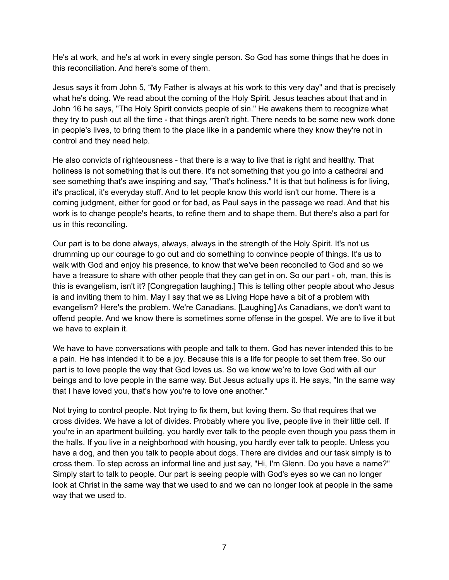He's at work, and he's at work in every single person. So God has some things that he does in this reconciliation. And here's some of them.

Jesus says it from John 5, "My Father is always at his work to this very day" and that is precisely what he's doing. We read about the coming of the Holy Spirit. Jesus teaches about that and in John 16 he says, "The Holy Spirit convicts people of sin." He awakens them to recognize what they try to push out all the time - that things aren't right. There needs to be some new work done in people's lives, to bring them to the place like in a pandemic where they know they're not in control and they need help.

He also convicts of righteousness - that there is a way to live that is right and healthy. That holiness is not something that is out there. It's not something that you go into a cathedral and see something that's awe inspiring and say, "That's holiness." It is that but holiness is for living, it's practical, it's everyday stuff. And to let people know this world isn't our home. There is a coming judgment, either for good or for bad, as Paul says in the passage we read. And that his work is to change people's hearts, to refine them and to shape them. But there's also a part for us in this reconciling.

Our part is to be done always, always, always in the strength of the Holy Spirit. It's not us drumming up our courage to go out and do something to convince people of things. It's us to walk with God and enjoy his presence, to know that we've been reconciled to God and so we have a treasure to share with other people that they can get in on. So our part - oh, man, this is this is evangelism, isn't it? [Congregation laughing.] This is telling other people about who Jesus is and inviting them to him. May I say that we as Living Hope have a bit of a problem with evangelism? Here's the problem. We're Canadians. [Laughing] As Canadians, we don't want to offend people. And we know there is sometimes some offense in the gospel. We are to live it but we have to explain it.

We have to have conversations with people and talk to them. God has never intended this to be a pain. He has intended it to be a joy. Because this is a life for people to set them free. So our part is to love people the way that God loves us. So we know we're to love God with all our beings and to love people in the same way. But Jesus actually ups it. He says, "In the same way that I have loved you, that's how you're to love one another."

Not trying to control people. Not trying to fix them, but loving them. So that requires that we cross divides. We have a lot of divides. Probably where you live, people live in their little cell. If you're in an apartment building, you hardly ever talk to the people even though you pass them in the halls. If you live in a neighborhood with housing, you hardly ever talk to people. Unless you have a dog, and then you talk to people about dogs. There are divides and our task simply is to cross them. To step across an informal line and just say, "Hi, I'm Glenn. Do you have a name?" Simply start to talk to people. Our part is seeing people with God's eyes so we can no longer look at Christ in the same way that we used to and we can no longer look at people in the same way that we used to.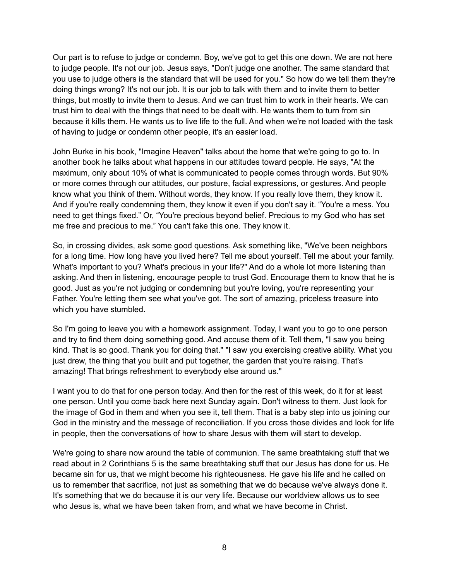Our part is to refuse to judge or condemn. Boy, we've got to get this one down. We are not here to judge people. It's not our job. Jesus says, "Don't judge one another. The same standard that you use to judge others is the standard that will be used for you." So how do we tell them they're doing things wrong? It's not our job. It is our job to talk with them and to invite them to better things, but mostly to invite them to Jesus. And we can trust him to work in their hearts. We can trust him to deal with the things that need to be dealt with. He wants them to turn from sin because it kills them. He wants us to live life to the full. And when we're not loaded with the task of having to judge or condemn other people, it's an easier load.

John Burke in his book, "Imagine Heaven" talks about the home that we're going to go to. In another book he talks about what happens in our attitudes toward people. He says, "At the maximum, only about 10% of what is communicated to people comes through words. But 90% or more comes through our attitudes, our posture, facial expressions, or gestures. And people know what you think of them. Without words, they know. If you really love them, they know it. And if you're really condemning them, they know it even if you don't say it. "You're a mess. You need to get things fixed." Or, "You're precious beyond belief. Precious to my God who has set me free and precious to me." You can't fake this one. They know it.

So, in crossing divides, ask some good questions. Ask something like, "We've been neighbors for a long time. How long have you lived here? Tell me about yourself. Tell me about your family. What's important to you? What's precious in your life?" And do a whole lot more listening than asking. And then in listening, encourage people to trust God. Encourage them to know that he is good. Just as you're not judging or condemning but you're loving, you're representing your Father. You're letting them see what you've got. The sort of amazing, priceless treasure into which you have stumbled.

So I'm going to leave you with a homework assignment. Today, I want you to go to one person and try to find them doing something good. And accuse them of it. Tell them, "I saw you being kind. That is so good. Thank you for doing that." "I saw you exercising creative ability. What you just drew, the thing that you built and put together, the garden that you're raising. That's amazing! That brings refreshment to everybody else around us."

I want you to do that for one person today. And then for the rest of this week, do it for at least one person. Until you come back here next Sunday again. Don't witness to them. Just look for the image of God in them and when you see it, tell them. That is a baby step into us joining our God in the ministry and the message of reconciliation. If you cross those divides and look for life in people, then the conversations of how to share Jesus with them will start to develop.

We're going to share now around the table of communion. The same breathtaking stuff that we read about in 2 Corinthians 5 is the same breathtaking stuff that our Jesus has done for us. He became sin for us, that we might become his righteousness. He gave his life and he called on us to remember that sacrifice, not just as something that we do because we've always done it. It's something that we do because it is our very life. Because our worldview allows us to see who Jesus is, what we have been taken from, and what we have become in Christ.